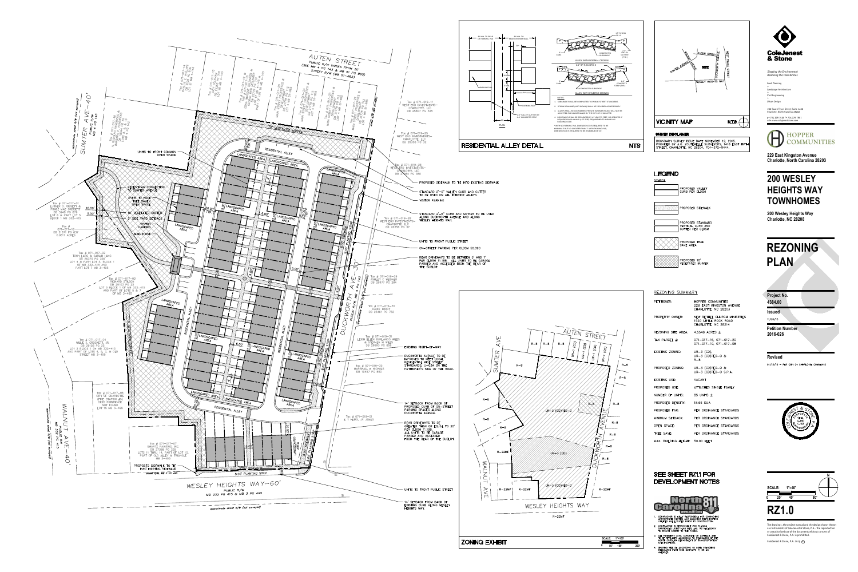**RZ1.0**

ColeJenest & Stone, P.A. 2015 **c**

ColeJenest & Stone, P.A. is prohibited. or unauthorized use of the documents without consent of are instruments of ColeJenest & Stone, P.A.. The reproduction The drawings, the project manual and the design shown theron

**Project No.**

**Revised**

01/15/16 - PER CITY OF CHARLOTTE COMMENTS



**Issued**

 $11/20/15$ 

Charlotte, North Carolina 28202 p+ 704 376 1555 f+ 704 376 7851

url+ www.colejeneststone.com



200 South Tryon Street, Suite 1400 Land Planning + Landscape Architecture +Civil Engineering +Urban Design

*Shaping the Environment Realizing the Possibilities*

**229 East Kingston Avenue Charlotte, North Carolina 28203**

# **200 WESLEY HEIGHTS WAY TOWNHOMES**

**200 Wesley Heights Way Charlotte, NC 28208**

**4384.00**

**Petition Number 2016-026**



BOUNDARY SURVEY ISSUE DATE NOVEMBER 12, 2015. PROVIDED BY A.G. ZOUTEWELLE SURVEYORS, 1418 EAST FIFTH<br>STREET, CHARLOTTE, NC 28204, 704-372-9444.

# **LEGEND**

**SYMBOL** PROPOSED VALLEY CURB PER CLDSM PROPOSED SIDEWALK PROPOSED STANDARD VERTICAL CURB AND PROPOSED TREE SAVE AREA

PROPOSED 10'

VEGETATED BUFFER

## REZONING SUMMARY

| PETITIONER:                        | HOPPER COMMUNITIES<br>228 EAST KINGSTON AVENUE<br>CHARLOTTE, NC 28203        |
|------------------------------------|------------------------------------------------------------------------------|
| PROPERTY OWNER:                    | NEW BETHEL CHURCH MINISTRIES<br>1520 LITTLE ROCK ROAD<br>CHARLOTTE, NC 28214 |
| REZONING SITE AREA: 4.5548 ACRES ± |                                                                              |
| TAX PARCEL #:                      | $071 - 017 - 16$ , $071 - 017 - 20$<br>$071 - 017 - 10$ , $071 - 017 - 08$   |
| EXISTING ZONING:                   | UR $-3$ (CD),<br>UR-3 (CD)PED-0 &<br>$R - 8$                                 |
| PROPOSED ZONING:                   | UR-3 (CD)PED-0 $&$<br>$UR-3$ (CD)PED-0 S.P.A.                                |
| <b>FXISTING USF:</b>               | VACANT                                                                       |
| PROPOSED USE:                      | ATTACHED SINGLE FAMILY                                                       |
| NUMBER OF UNITS:                   | 85 UNITS $\pm$                                                               |
| PROPOSED DENSITY:                  | 18.66 DUA                                                                    |
| PROPOSED FAR:                      | PER ORDINANCE STANDARDS                                                      |
| MINIMUM SETBACK:                   | PER ORDINANCE STANDARDS                                                      |
| OPEN SPACE:                        | PER ORDINANCE STANDARDS                                                      |
| TREE SAVE:                         | PER ORDINANCE STANDARDS                                                      |
| MAX. BUILDING HEIGHT: 50.00 FEET   |                                                                              |

### **SEE SHEET RZ1.1 FOR** DEVELOPMENT NOTES

# **REZONING PLAN**



- CONTRACTOR IS FULLY RESPONSIBLE FOR CONTACTING OPPROPRIATE PARTIES AND ASSURING THAT EXISTING<br>UTILITIES ARE LOCATED PRIOR TO CONSTRUCTION.
- 2. CONTRACTOR IS RESPONSIBLE FOR PLACING<br>BARRICADES USING FLAG MEN, ETC. AS NECESSARY<br>TO INSURE SAFETY TO THE PUBLIC.
- 3. ALL PAVEMENT CUTS, CONCRETE OR ASPHALT, ARE<br>TO BE REPLACED ACCORDING TO STANDARDS OF THE<br>NORTH CAROLINA DEPARTMENT OF TRANSPORTATION SPECIFICATIONS.
- . SHORING WILL BE ACCORDING TO OSHA TRENCHING<br>STANDARDS PART 1926 SUBPART P, OR AS<br>AMENDED.



**0 50' 100' 200'**

**SCALE: 1"=100'**



 $R - 8$ 

 $R-8$ 

 $R - 8$ 

R-8

 $R - 8$ 

 $R - 8$ 

 $R - 8$ 

 $R-22MF$ 





**ZONING EXHIBIT**